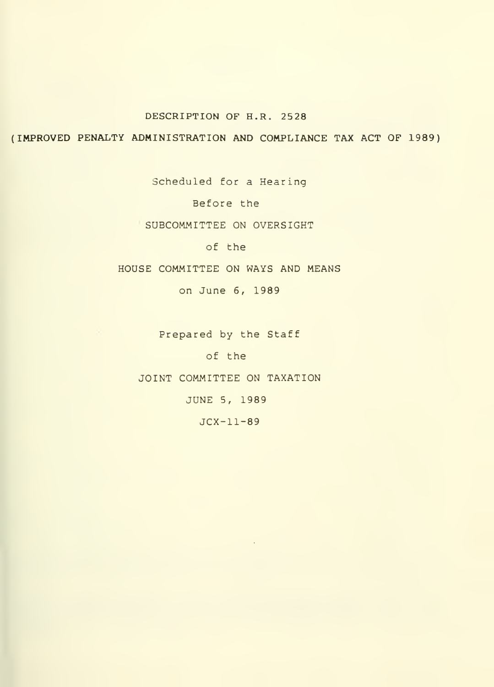# DESCRIPTION OF H.R. 2528

(IMPROVED PENALTY ADMINISTRATION AND COMPLIANCE TAX ACT OF 1989)

Scheduled for a Hearing

Before the

SUBCOMMITTEE ON OVERSIGHT

of the

HOUSE COMMITTEE ON WAYS AND MEANS

on June 6, 1989

Prepared by the Staff

of the

JOINT COMMITTEE ON TAXATION

JUNE 5, 1989

JCX-11-89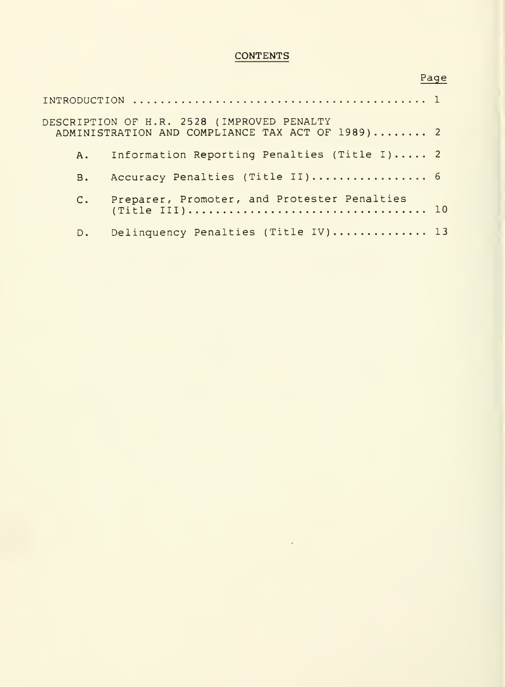# **CONTENTS**

|             | DESCRIPTION OF H.R. 2528 (IMPROVED PENALTY<br>ADMINISTRATION AND COMPLIANCE TAX ACT OF 1989) 2 |  |
|-------------|------------------------------------------------------------------------------------------------|--|
| $A_{\star}$ | Information Reporting Penalties (Title I) 2                                                    |  |
| B.          | Accuracy Penalties (Title II) 6                                                                |  |
|             | C. Preparer, Promoter, and Protester Penalties                                                 |  |
|             | D. Delinquency Penalties (Title IV) 13                                                         |  |

# Page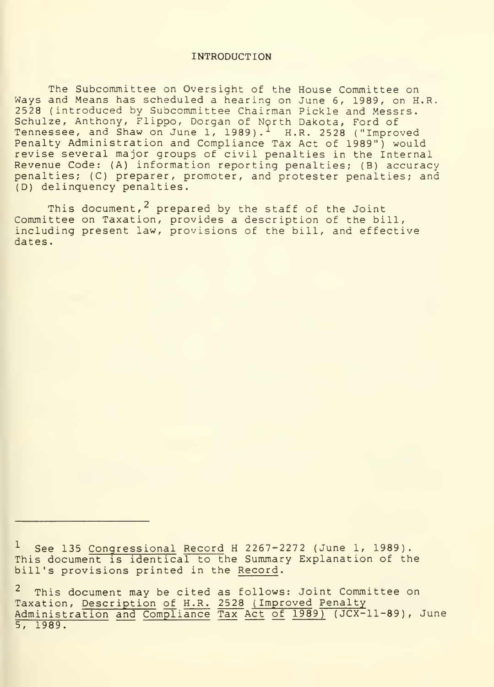#### INTRODUCTION

The Subcommittee on Oversight of the House Committee on Ways and Means has scheduled a hearing on June 6, 1989, on H.R. 2528 (introduced by Subcommittee Chairman Pickle and Messrs. Schulze, Anthony, Flippo, Dorgan of North Dakota, Ford of Tennessee, and Shaw on June 1, 1989).<sup>1</sup> H.R. 2528 ("Improved Penalty Administration and Compliance Tax Act of 1989") would revise several major groups of civil penalties in the Internal Revenue Code: (A) information reporting penalties; (B) accuracy penalties; (C) preparer, promoter, and protester penalties; and (D) delinquency penalties.

This document,<sup>2</sup> prepared by the staff of the Joint Committee on Taxation, provides a description of the bill, including present law, provisions of the bill, and effective dates.

See 135 Congressional Record H 2267-2272 (June 1, 1989). This document is identical to the Summary Explanation of the bill's provisions printed in the Record.

This document may be cited as follows: Joint Committee on Taxation, Description of H.R. 2528 ( Improved Penalty Administration and Compliance Tax Act of 1989) (JCX-11-89), June 5, 1989.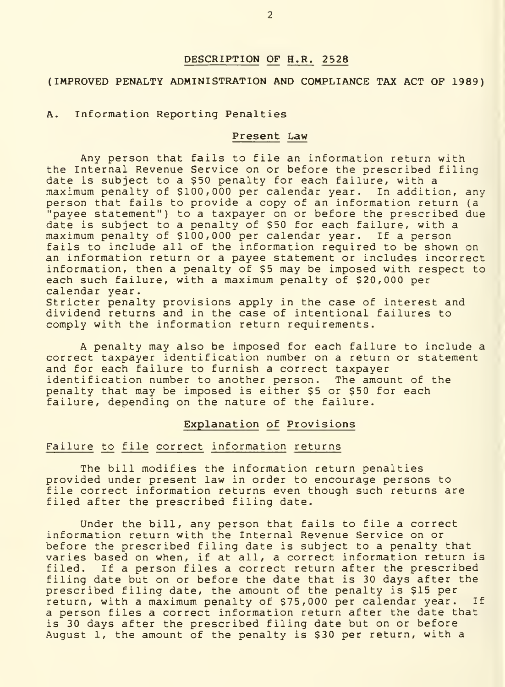# DESCRIPTION OF H.R. 2528

# (IMPROVED PENALTY ADMINISTRATION AND COMPLIANCE TAX ACT OF 1989)

### A. Information Reporting Penalties

#### Present Law

Any person that fails to file an information return with the Internal Revenue Service on or before the prescribed filing<br>date is subject to a \$50 penalty for each failure, with a maximum penalty of \$100,000 per calendar year. In addition, any person that fails to provide a copy of an information return (a "payee statement") to a taxpayer on or before the prescribed due date is subject to a penalty of \$50 for each failure, with a maximum penalty of \$100,000 per calendar year. If a person fails to include all of the information required to be shown on an information return or a payee statement or includes incorrect information, then a penalty of \$5 may be imposed with respect to each such failure, with a maximum penalty of \$20,000 per calendar year.

Stricter penalty provisions apply in the case of interest and dividend returns and in the case of intentional failures to comply with the information return requirements.

A penalty may also be imposed for each failure to include a correct taxpayer identification number on a return or statement and for each failure to furnish a correct taxpayer<br>identification number to another person. The amount of the identification number to another person. penalty that may be imposed is either \$5 or \$50 for each failure, depending on the nature of the failure.

#### Explanation of Provisions

#### Failure to file correct information returns

The bill modifies the information return penalties provided under present law in order to encourage persons to file correct information returns even though such returns are filed after the prescribed filing date.

Under the bill, any person that fails to file a correct information return with the Internal Revenue Service on or before the prescribed filing date is subject to a penalty that varies based on when, if at all, a correct information return is filed. If a person files a correct return after the prescribed filing date but on or before the date that is 30 days after the prescribed filing date, the amount of the penalty is \$15 per return, with a maximum penalty of \$75,000 per calendar year. If a person files a correct information return after the date that is 30 days after the prescribed filing date but on or before August 1, the amount of the penalty is \$30 per return, with a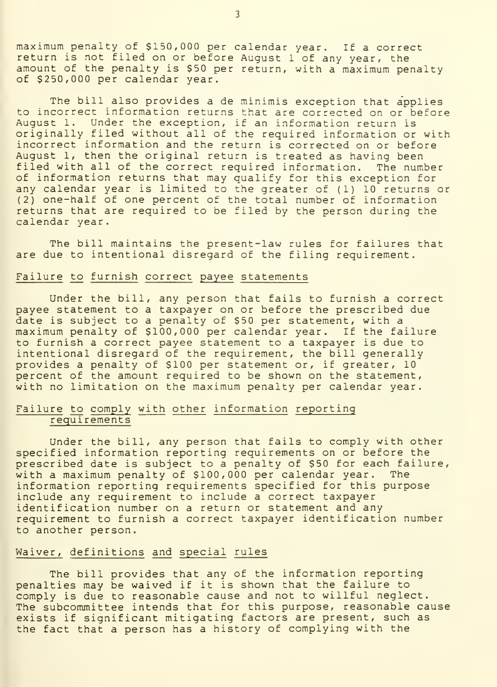maximum penalty of \$150,000 per calendar year. If <sup>a</sup> correct return is not filed on or before August <sup>1</sup> of any year, the amount of the penalty is \$50 per return, with a maximum penalty of \$250,000 per calendar year.

The bill also provides a de minimis exception that applies to incorrect information returns that are corrected on or before August 1. Under the exception, if an information return is originally filed without all of the required information or with incorrect information and the return is corrected on or before August 1, then the original return is treated as having been filed with all of the correct required information. The number of information returns that may qualify for this exception for any calendar year is limited to the greater of (1) 10 returns or (2) one-half of one percent of the total number of information returns that are required to be filed by the person during the calendar year.

The bill maintains the present-law rules for failures that are due to intentional disregard of the filing requirement.

#### Failure to furnish correct payee statements

Under the bill, any person that fails to furnish a correct payee statement to a taxpayer on or before the prescribed due<br>date is subject to a penalty of \$50 per statement, with a maximum penalty of \$100,000 per calendar year. If the failure to furnish a correct payee statement to a taxpayer is due to intentional disregard of the requirement, the bill generally provides a penalty of \$100 per statement or, if greater, 10 percent of the amount required to be shown on the statement, with no limitation on the maximum penalty per calendar year.

# Failure to comply with other information reporting requirements

Under the bill, any person that fails to comply with other specified information reporting requirements on or before the prescribed date is subject to a penalty of \$50 for each failure, with a maximum penalty of \$100,000 per calendar year. The information reporting requirements specified for this purpose include any requirement to include a correct taxpayer identification number on a return or statement and any requirement to furnish a correct taxpayer identification number to another person.

#### Waiver, definitions and special rules

The bill provides that any of the information reporting penalties may be waived if it is shown that the failure to comply is due to reasonable cause and not to willful neglect. The subcommittee intends that for this purpose, reasonable cause exists if significant mitigating factors are present, such as the fact that a person has a history of complying with the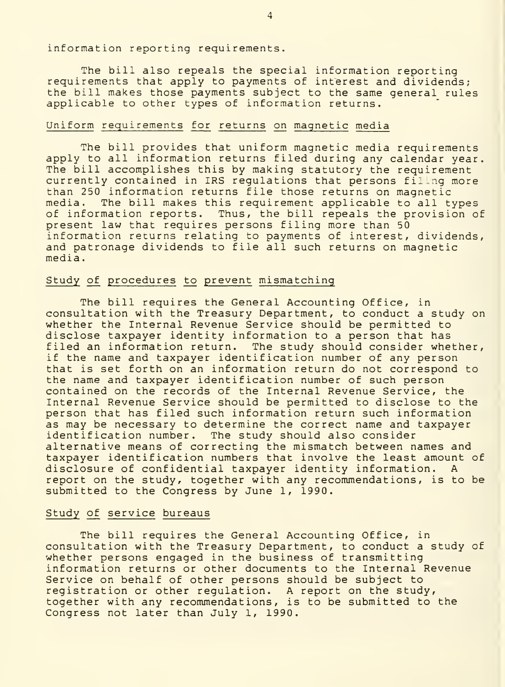information reporting requirements.

The bill also repeals the special information reporting requirements that apply to payments of interest and dividends; the bill makes those payments subject to the same general rules applicable to other types of information returns.

## Uniform requirements for returns on magnetic media

The bill provides that uniform magnetic media requirements apply to all information returns filed during any calendar year. The bill accomplishes this by making statutory the requirement currently contained in IRS regulations that persons filling more than 250 information returns file those returns on magnetic media. The bill makes this requirement applicable to all types of information reports. Thus, the bill repeals the provision of present law that requires persons filing more than 50 information returns relating to payments of interest, dividends, and patronage dividends to file all such returns on magnetic media

# Study of procedures to prevent mismatching

The bill requires the General Accounting Office, in consultation with the Treasury Department, to conduct a study on whether the Internal Revenue Service should be permitted to disclose taxpayer identity information to a person that has filed an information return. The study should consider whether, if the name and taxpayer identification number of any person that is set forth on an information return do not correspond to the name and taxpayer identification number of such person contained on the records of the Internal Revenue Service, the Internal Revenue Service should be permitted to disclose to the person that has filed such information return such information as may be necessary to determine the correct name and taxpayer identification number. The study should also consider alternative means of correcting the mismatch between names and taxpayer identification numbers that involve the least amount of disclosure of confidential taxpayer identity information. A report on the study, together with any recommendations, is to be submitted to the Congress by June 1, 1990.

#### Study of service bureaus

The bill requires the General Accounting Office, in consultation with the Treasury Department, to conduct a study of whether persons engaged in the business of transmitting information returns or other documents to the Internal Revenue Service on behalf of other persons should be subject to registration or other regulation. A report on the study, together with any recommendations, is to be submitted to the Congress not later than July 1, 1990.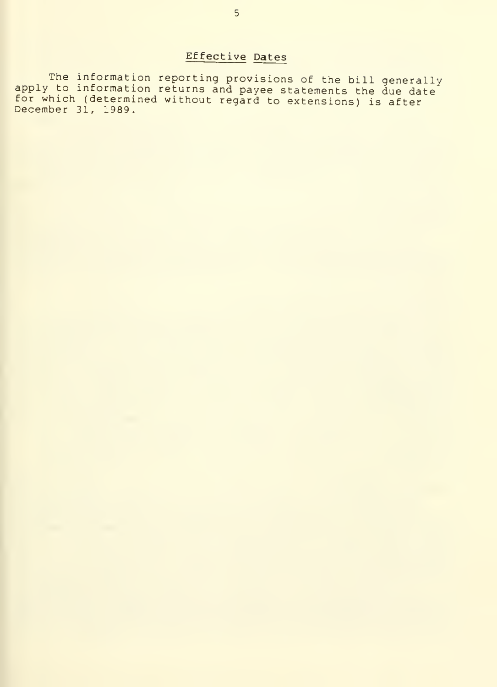# Effective Dates

The information reporting provisions of the bill generally<br>apply to information returns and payee statements the due date for which (determined without regard to extensions) is after December 31, 1989.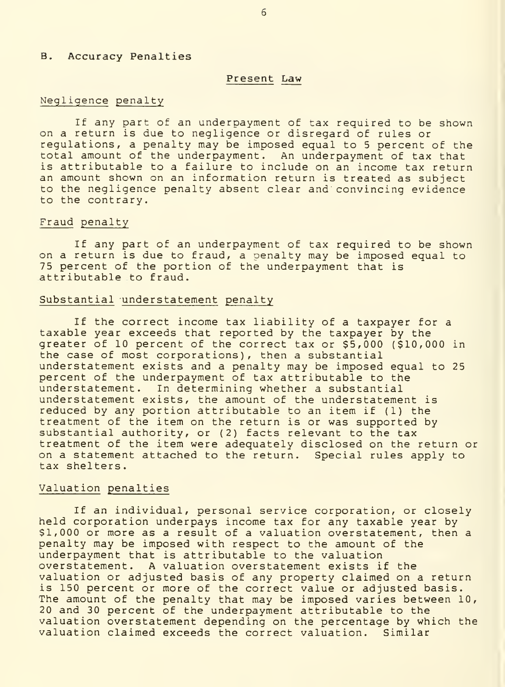#### B. Accuracy Penalties

#### Present Law

#### Negligence penalty

If any part of an underpayment of tax required to be shown on a return is due to negligence or disregard of rules or regulations, a penalty may be imposed equal to <sup>5</sup> percent of the total amount of the underpayment. An underpayment of tax that is attributable to a failure to include on an income tax return an amount shown on an information return is treated as subject to the negligence penalty absent clear and convincing evidence to the contrary.

#### Fraud penalty

If any part of an underpayment of tax required to be shown on a return is due to fraud, a penalty may be imposed equal to 75 percent of the portion of the underpayment that is attributable to fraud.

#### Substantial understatement penalty

If the correct income tax liability of <sup>a</sup> taxpayer for <sup>a</sup> taxable year exceeds that reported by the taxpayer by the greater of 10 percent of the correct tax or \$5,000 (\$10,000 in the case of most corporations), then a substantial understatement exists and a penalty may be imposed equal to 25 percent of the underpayment of tax attributable to the understatement. In determining whether a substantial understatement exists, the amount of the understatement is reduced by any portion attributable to an item if (1) the treatment of the item on the return is or was supported by substantial authority, or (2) facts relevant to the tax treatment of the item were adequately disclosed on the return or on a statement attached to the return. Special rules apply to tax shelters.

#### Valuation penalties

If an individual, personal service corporation, or closely held corporation underpays income tax for any taxable year by  $\bar{S}$ <br>\$1,000 or more as a result of a valuation overstatement, then a penalty may be imposed with respect to the amount of the underpayment that is attributable to the valuation overstatement. A valuation overstatement exists if the valuation or adjusted basis of any property claimed on a return is 150 percent or more of the correct value or adjusted basis. The amount of the penalty that may be imposed varies between 10, 20 and 30 percent of the underpayment attributable to the valuation overstatement depending on the percentage by which the valuation claimed exceeds the correct valuation. Similar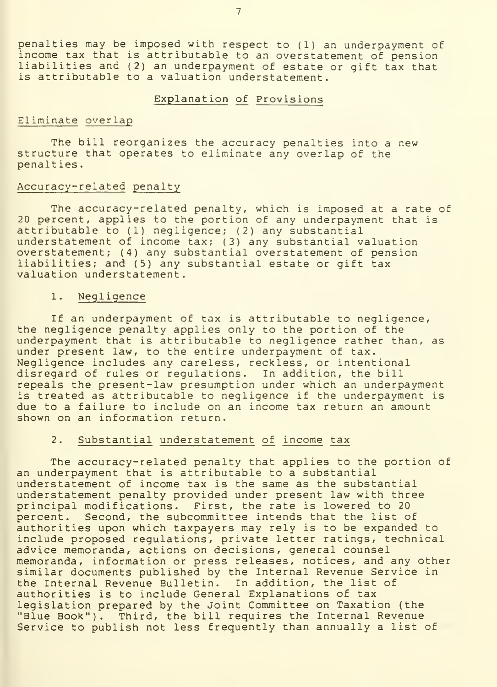penalties may be imposed with respect to (1) an underpayment of income tax that is attributable to an overstatement of pension liabilities and (2) an underpayment of estate or gift tax that is attributable to a valuation understatement.

#### Explanation of Provisions

# Eliminate overlap

The bill reorganizes the accuracy penalties into a new structure that operates to eliminate any overlap of the penalties

#### Accuracy-related penalty

The accuracy-related penalty, which is imposed at a rate of 20 percent, applies to the portion of any underpayment that is attributable to (1) negligence; (2) any substantial understatement of income tax; (3) any substantial valuation overstatement; (4) any substantial overstatement of pension liabilities; and (5) any substantial estate or gift tax valuation understatement.

#### 1 Negligence

If an underpayment of tax is attributable to negligence, the negligence penalty applies only to the portion of the underpayment that is attributable to negligence rather than, as under present law, to the entire underpayment of tax. Negligence includes any careless, reckless, or intentional disregard of rules or regulations. In addition, the bill repeals the present-law presumption under which an underpayment is treated as attributable to negligence if the underpayment is due to a failure to include on an income tax return an amount shown on an information return.

#### $2.$ Substantial understatement of income tax

The accuracy-related penalty that applies to the portion of an underpayment that is attributable to a substantial understatement of income tax is the same as the substantial understatement penalty provided under present law with three principal modifications. First, the rate is lowered to 20<br>percent. Second, the subcommittee intends that the list o Second, the subcommittee intends that the list of authorities upon which taxpayers may rely is to be expanded to include proposed regulations, private letter ratings, technical advice memoranda, actions on decisions, general counsel memoranda, information or press releases, notices, and any other similar documents published by the Internal Revenue Service in the Internal Revenue Bulletin. In addition, the list of authorities is to include General Explanations of tax legislation prepared by the Joint Committee on Taxation (the "Blue Book"). Third, the bill requires the Internal Revenue Service to publish not less frequently than annually a list of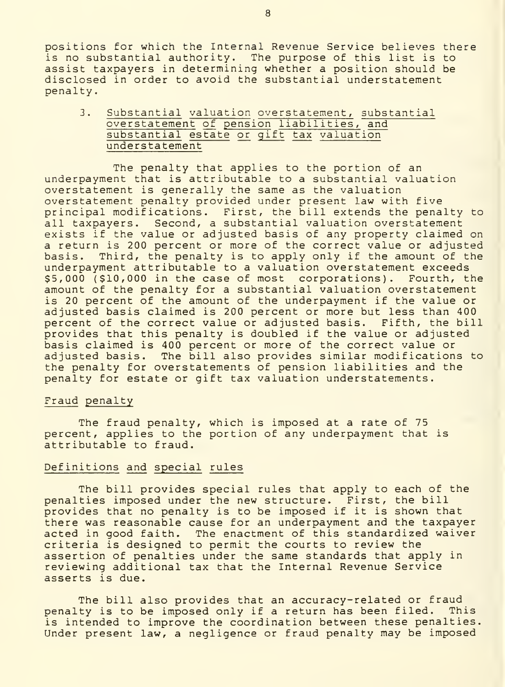positions for which the Internal Revenue Service believes there is no substantial authority. The purpose of this list is to assist taxpayers in determining whether a position should be disclosed in order to avoid the substantial understatement penalty.

3. Substantial valuation overstatement, substantial overstatement of pension liabilities , and substantial estate or gift tax valuation understatement

The penalty that applies to the portion of an underpayment that is attributable to a substantial valuation overstatement is generally the same as the valuation overstatement penalty provided under present law with five principal modifications. First, the bill extends the penalty to all taxpayers. Second, a substantial valuation overstatement exists if the value or adjusted basis of any property claimed on a return is 200 percent or more of the correct value or adjusted basis. Third, the penalty is to apply only if the amount of the underpayment attributable to a valuation overstatement exceeds \$5,000 (\$10,000 in the case of most corporations). Fourth, the amount of the penalty for a substantial valuation overstatement is 20 percent of the amount of the underpayment if the value or adjusted basis claimed is 200 percent or more but less than 400 percent of the correct value or adjusted basis. Fifth, the bill provides that this penalty is doubled if the value or adjusted basis claimed is 400 percent or more of the correct value or adjusted basis. The bill also provides similar modifications to the penalty for overstatements of pension liabilities and the penalty for estate or gift tax valuation understatements.

#### Fraud penalty

The fraud penalty, which is imposed at a rate of 75 percent, applies to the portion of any underpayment that is attributable to fraud.

#### Definitions and special rules

The bill provides special rules that apply to each of the penalties imposed under the new structure. First, the bill provides that no penalty is to be imposed if it is shown that there was reasonable cause for an underpayment and the taxpayer acted in good faith. The enactment of this standardized waiver criteria is designed to permit the courts to review the assertion of penalties under the same standards that apply in reviewing additional tax that the Internal Revenue Service asserts is due.

The bill also provides that an accuracy-related or fraud penalty is to be imposed only if a return has been filed. This is intended to improve the coordination between these penalties. Under present law, a negligence or fraud penalty may be imposed

8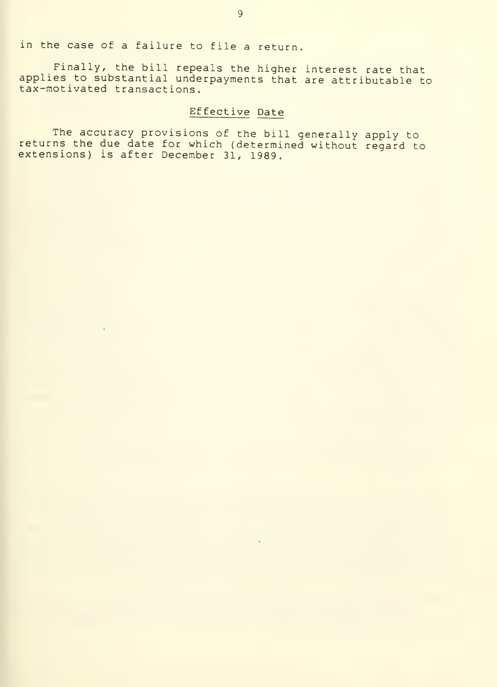in the case of <sup>a</sup> failure to file a return.

Finally, the bill repeals the higher interest rate that applies to substantial underpayments that are attributable to tax-motivated transactions.

# Effective Date

The accuracy provisions of the bill generally apply to returns the due date for which (determined without regard to extensions) is after December 31, 1989.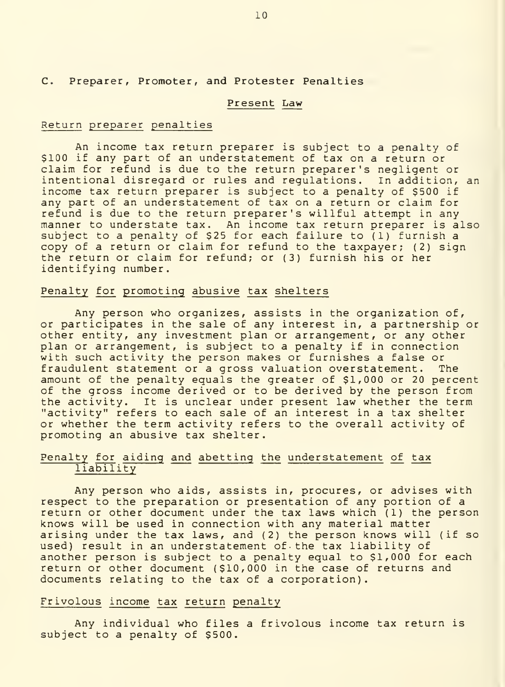# C. Preparer, Promoter, and Protester Penalties

#### Present Law

#### Return preparer penalties

An income tax return preparer is subject to a penalty of \$100 if any part of an understatement of tax on a return or claim for refund is due to the return preparer's negligent or intentional disregard or rules and regulations. In addition, an income tax return preparer is subject to a penalty of \$500 if any part of an understatement of tax on a return or claim for refund is due to the return preparer's willful attempt in any manner to understate tax. An income tax return preparer is also subject to a penalty of \$25 for each failure to (1) furnish a copy of a return or claim for refund to the taxpayer; (2) sign the return or claim for refund; or (3) furnish his or her identifying number.

#### Penalty for promoting abusive tax shelters

Any person who organizes, assists in the organization of, or participates in the sale of any interest in, a partnership or other entity, any investment plan or arrangement, or any other plan or arrangement, is subject to a penalty if in connection with such activity the person makes or furnishes a false or fraudulent statement or a gross valuation overstatement. The amount of the penalty equals the greater of \$1,000 or 20 percent of the gross income derived or to be derived by the person from the activity. It is unclear under present law whether the term "activity" refers to each sale of an interest in a tax shelter or whether the term activity refers to the overall activity of promoting an abusive tax shelter.

# Penalty for aiding and abetting the understatement of tax liability

Any person who aids, assists in, procures, or advises with<br>respect to the preparation or presentation of any portion of a return or other document under the tax laws which (1) the person knows will be used in connection with any material matter arising under the tax laws, and (2) the person knows will (if so used) result in an understatement of- the tax liability of another person is subject to a penalty equal to \$1,000 for each return or other document (\$10,000 in the case of returns and documents relating to the tax of a corporation).

# Frivolous income tax return penalty

Any individual who files a frivolous income tax return is subject to a penalty of \$500.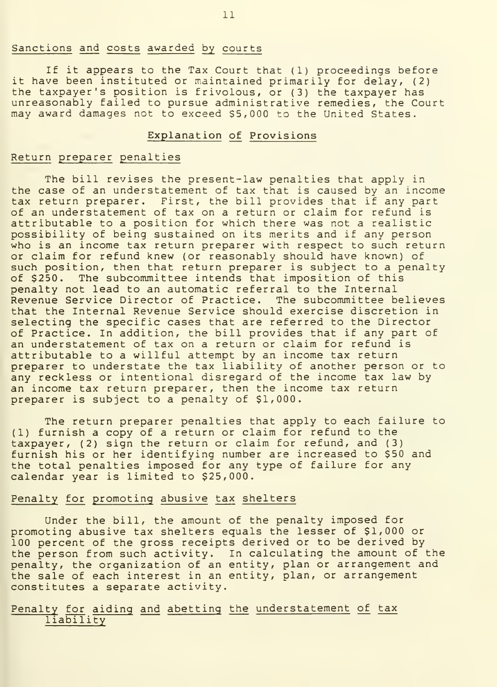### Sanctions and costs awarded by courts

If it appears to the Tax Court that (1) proceedings before it have been instituted or maintained primarily for delay, (2) the taxpayer's position is frivolous, or (3) the taxpayer has unreasonably failed to pursue administrative remedies, the Court may award damages not to exceed \$5,000 to the United States.

# Explanation of Provisions

# Return preparer penalties

The bill revises the present-law penalties that apply in the case of an understatement of tax that is caused by an income tax return preparer. First, the bill provides that if any part of an understatement of tax on a return or claim for refund is attributable to a position for which there was not a realistic possibility of being sustained on its merits and if any person who is an income tax return preparer with respect to such return or claim for refund knew (or reasonably should have known) of such position, then that return preparer is subject to a penalty of \$250. The subcommittee intends that imposition of this penalty not lead to an automatic referral to the Internal Revenue Service Director of Practice. The subcommittee believes that the Internal Revenue Service should exercise discretion in selecting the specific cases that are referred to the Director of Practice. In addition, the bill provides that if any part of an understatement of tax on a return or claim for refund is attributable to a willful attempt by an income tax return preparer to understate the tax liability of another person or to any reckless or intentional disregard of the income tax law by an income tax return preparer, then the income tax return preparer is subject to a penalty of \$1,000.

The return preparer penalties that apply to each failure to (1) furnish a copy of a return or claim for refund to the taxpayer, (2) sign the return or claim for refund, and (3) furnish his or her identifying number are increased to \$50 and the total penalties imposed for any type of failure for any calendar year is limited to \$25,000.

# Penalty for promoting abusive tax shelters

Under the bill, the amount of the penalty imposed for promoting abusive tax shelters equals the lesser of \$1,000 or 100 percent of the gross receipts derived or to be derived by the person from such activity. In calculating the amount of the penalty, the organization of an entity, plan or arrangement and the sale of each interest in an entity, plan, or arrangement constitutes a separate activity.

# Penalty for aiding and abetting the understatement of tax liability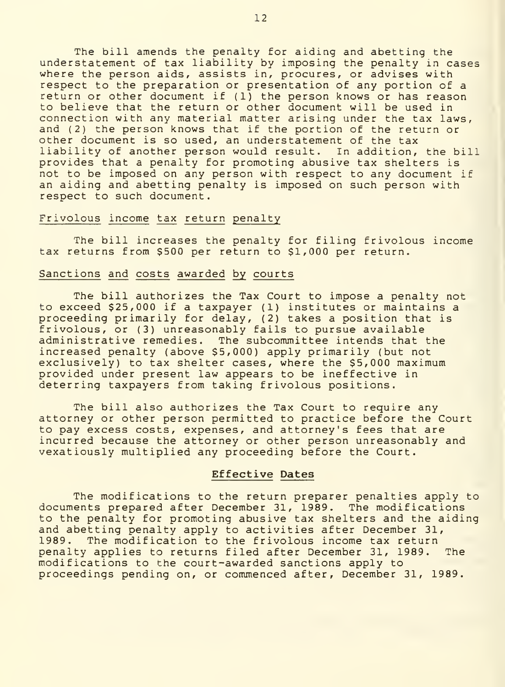The bill amends the penalty for aiding and abetting the understatement of tax liability by imposing the penalty in cases where the person aids, assists in, procures, or advises with<br>respect to the preparation or presentation of any portion of a return or other document if (1) the person knows or has reason to believe that the return or other document will be used in connection with any material matter arising under the tax laws, and (2) the person knows that if the portion of the return or other document is so used, an understatement of the tax liability of another person would result. In addition, the bill provides that a penalty for promoting abusive tax shelters is not to be imposed on any person with respect to any document if an aiding and abetting penalty is imposed on such person with respect to such document.

#### Frivolous income tax return penalty

The bill increases the penalty for filing frivolous income tax returns from \$500 per return to \$1,000 per return.

# Sanctions and costs awarded by courts

The bill authorizes the Tax Court to impose a penalty not<br>to exceed \$25,000 if a taxpayer (1) institutes or maintains a proceeding primarily for delay, (2) takes a position that is frivolous, or (3) unreasonably fails to pursue available administrative remedies. The subcommittee intends that the increased penalty (above \$5,000) apply primarily (but not exclusively) to tax shelter cases, where the \$5,000 maximum provided under present law appears to be ineffective in deterring taxpayers from taking frivolous positions.

The bill also authorizes the Tax Court to require any attorney or other person permitted to practice before the Court to pay excess costs, expenses, and attorney's fees that are incurred because the attorney or other person unreasonably and vexatiously multiplied any proceeding before the Court.

#### Effective Dates

The modifications to the return preparer penalties apply to documents prepared after December 31, 1989. The modifications to the penalty for promoting abusive tax shelters and the aiding and abetting penalty apply to activities after December 31, 1989. The modification to the frivolous income tax return penalty applies to returns filed after December 31, 1989. The modifications to the court-awarded sanctions apply to proceedings pending on, or commenced after, December 31, 1989.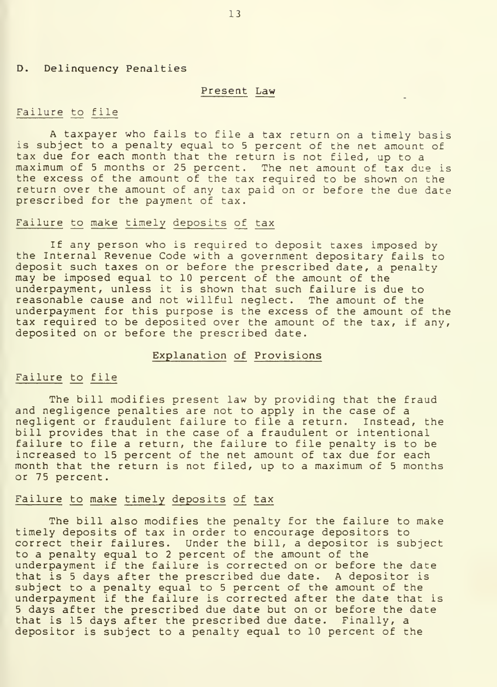#### D. Delinquency Penalties

#### Present Law

#### Failure to file

A taxpayer who fails to file a tax return on a timely basis is subject to a penalty equal to 5 percent of the net amount of<br>tax due for each month that the return is not filed, up to a maximum of 5 months or 25 percent. The net amount of tax due is the excess of the amount of the tax required to be shown on the return over the amount of any tax paid on or before the due date prescribed for the payment of tax.

#### Failure to make timely deposits of tax

If any person who is required to deposit taxes imposed by the Internal Revenue Code with a government depositary fails to deposit such taxes on or before the prescribed date, a penalty may be imposed equal to 10 percent of the amount of the underpayment, unless it is shown that such failure is due to reasonable cause and not willful neglect. The amount of the underpayment for this purpose is the excess of the amount of the tax required to be deposited over the amount of the tax, if any, deposited on or before the prescribed date.

#### Explanation of Provisions

#### Failure to file

The bill modifies present law by providing that the fraud and negligence penalties are not to apply in the case of a negligent or fraudulent failure to file a return. Instead, the bill provides that in the case of a fraudulent or intentional failure to file a return, the failure to file penalty is to be increased to 15 percent of the net amount of tax due for each month that the return is not filed, up to a maximum of <sup>5</sup> months or 75 percent.

#### Failure to make timely deposits of tax

The bill also modifies the penalty for the failure to make timely deposits of tax in order to encourage depositors to correct their failures. Under the bill, a depositor is subject to a penalty equal to <sup>2</sup> percent of the amount of the underpayment if the failure is corrected on or before the date that is <sup>5</sup> days after the prescribed due date. A depositor is subject to a penalty equal to <sup>5</sup> percent of the amount of the underpayment if the failure is corrected after the date that is 5 days after the prescribed due date but on or before the date<br>that is 15 days after the prescribed due date. Finally, a depositor is subject to a penalty equal to 10 percent of the